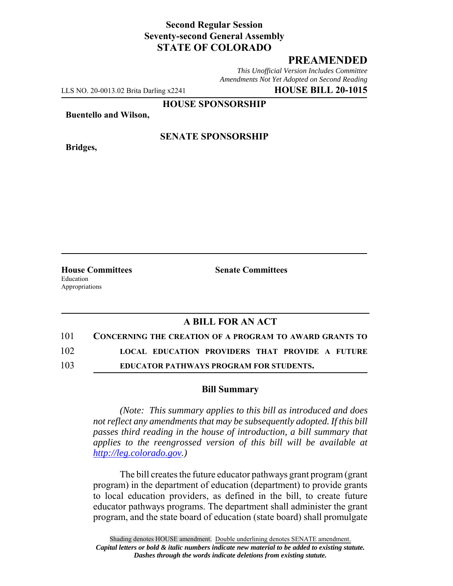## **Second Regular Session Seventy-second General Assembly STATE OF COLORADO**

## **PREAMENDED**

*This Unofficial Version Includes Committee Amendments Not Yet Adopted on Second Reading*

LLS NO. 20-0013.02 Brita Darling x2241 **HOUSE BILL 20-1015**

**HOUSE SPONSORSHIP**

**Buentello and Wilson,**

**Bridges,**

#### **SENATE SPONSORSHIP**

Education Appropriations

**House Committees Senate Committees** 

## **A BILL FOR AN ACT**

101 **CONCERNING THE CREATION OF A PROGRAM TO AWARD GRANTS TO**

102 **LOCAL EDUCATION PROVIDERS THAT PROVIDE A FUTURE**

103 **EDUCATOR PATHWAYS PROGRAM FOR STUDENTS.**

#### **Bill Summary**

*(Note: This summary applies to this bill as introduced and does not reflect any amendments that may be subsequently adopted. If this bill passes third reading in the house of introduction, a bill summary that applies to the reengrossed version of this bill will be available at http://leg.colorado.gov.)*

The bill creates the future educator pathways grant program (grant program) in the department of education (department) to provide grants to local education providers, as defined in the bill, to create future educator pathways programs. The department shall administer the grant program, and the state board of education (state board) shall promulgate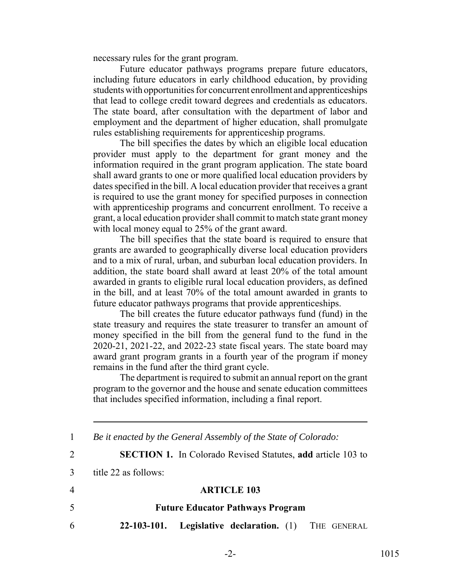necessary rules for the grant program.

Future educator pathways programs prepare future educators, including future educators in early childhood education, by providing students with opportunities for concurrent enrollment and apprenticeships that lead to college credit toward degrees and credentials as educators. The state board, after consultation with the department of labor and employment and the department of higher education, shall promulgate rules establishing requirements for apprenticeship programs.

The bill specifies the dates by which an eligible local education provider must apply to the department for grant money and the information required in the grant program application. The state board shall award grants to one or more qualified local education providers by dates specified in the bill. A local education provider that receives a grant is required to use the grant money for specified purposes in connection with apprenticeship programs and concurrent enrollment. To receive a grant, a local education provider shall commit to match state grant money with local money equal to 25% of the grant award.

The bill specifies that the state board is required to ensure that grants are awarded to geographically diverse local education providers and to a mix of rural, urban, and suburban local education providers. In addition, the state board shall award at least 20% of the total amount awarded in grants to eligible rural local education providers, as defined in the bill, and at least 70% of the total amount awarded in grants to future educator pathways programs that provide apprenticeships.

The bill creates the future educator pathways fund (fund) in the state treasury and requires the state treasurer to transfer an amount of money specified in the bill from the general fund to the fund in the 2020-21, 2021-22, and 2022-23 state fiscal years. The state board may award grant program grants in a fourth year of the program if money remains in the fund after the third grant cycle.

The department is required to submit an annual report on the grant program to the governor and the house and senate education committees that includes specified information, including a final report.

 *Be it enacted by the General Assembly of the State of Colorado:* **SECTION 1.** In Colorado Revised Statutes, **add** article 103 to title 22 as follows: **ARTICLE 103 Future Educator Pathways Program 22-103-101. Legislative declaration.** (1) THE GENERAL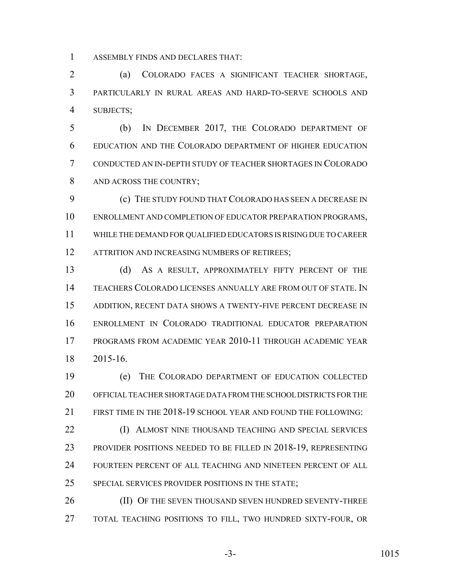ASSEMBLY FINDS AND DECLARES THAT:

 (a) COLORADO FACES A SIGNIFICANT TEACHER SHORTAGE, PARTICULARLY IN RURAL AREAS AND HARD-TO-SERVE SCHOOLS AND SUBJECTS;

 (b) IN DECEMBER 2017, THE COLORADO DEPARTMENT OF EDUCATION AND THE COLORADO DEPARTMENT OF HIGHER EDUCATION CONDUCTED AN IN-DEPTH STUDY OF TEACHER SHORTAGES IN COLORADO 8 AND ACROSS THE COUNTRY;

 (c) THE STUDY FOUND THAT COLORADO HAS SEEN A DECREASE IN ENROLLMENT AND COMPLETION OF EDUCATOR PREPARATION PROGRAMS, WHILE THE DEMAND FOR QUALIFIED EDUCATORS IS RISING DUE TO CAREER 12 ATTRITION AND INCREASING NUMBERS OF RETIREES;

 (d) AS A RESULT, APPROXIMATELY FIFTY PERCENT OF THE TEACHERS COLORADO LICENSES ANNUALLY ARE FROM OUT OF STATE. IN ADDITION, RECENT DATA SHOWS A TWENTY-FIVE PERCENT DECREASE IN ENROLLMENT IN COLORADO TRADITIONAL EDUCATOR PREPARATION PROGRAMS FROM ACADEMIC YEAR 2010-11 THROUGH ACADEMIC YEAR 2015-16.

 (e) THE COLORADO DEPARTMENT OF EDUCATION COLLECTED OFFICIAL TEACHER SHORTAGE DATA FROM THE SCHOOL DISTRICTS FOR THE FIRST TIME IN THE 2018-19 SCHOOL YEAR AND FOUND THE FOLLOWING:

 (I) ALMOST NINE THOUSAND TEACHING AND SPECIAL SERVICES PROVIDER POSITIONS NEEDED TO BE FILLED IN 2018-19, REPRESENTING FOURTEEN PERCENT OF ALL TEACHING AND NINETEEN PERCENT OF ALL SPECIAL SERVICES PROVIDER POSITIONS IN THE STATE;

**(II) OF THE SEVEN THOUSAND SEVEN HUNDRED SEVENTY-THREE** TOTAL TEACHING POSITIONS TO FILL, TWO HUNDRED SIXTY-FOUR, OR

-3- 1015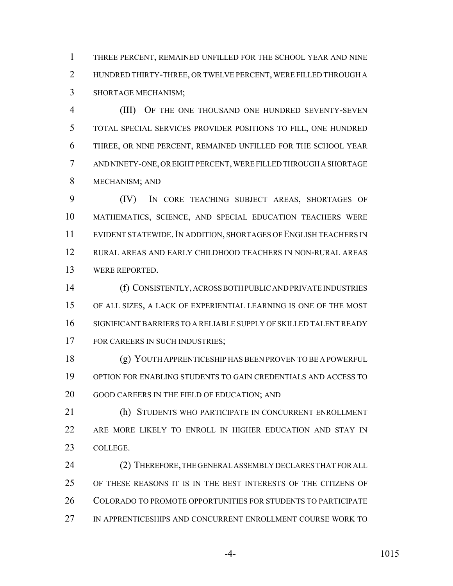THREE PERCENT, REMAINED UNFILLED FOR THE SCHOOL YEAR AND NINE HUNDRED THIRTY-THREE, OR TWELVE PERCENT, WERE FILLED THROUGH A SHORTAGE MECHANISM;

 (III) OF THE ONE THOUSAND ONE HUNDRED SEVENTY-SEVEN TOTAL SPECIAL SERVICES PROVIDER POSITIONS TO FILL, ONE HUNDRED THREE, OR NINE PERCENT, REMAINED UNFILLED FOR THE SCHOOL YEAR AND NINETY-ONE, OR EIGHT PERCENT, WERE FILLED THROUGH A SHORTAGE MECHANISM; AND

 (IV) IN CORE TEACHING SUBJECT AREAS, SHORTAGES OF MATHEMATICS, SCIENCE, AND SPECIAL EDUCATION TEACHERS WERE EVIDENT STATEWIDE.IN ADDITION, SHORTAGES OF ENGLISH TEACHERS IN RURAL AREAS AND EARLY CHILDHOOD TEACHERS IN NON-RURAL AREAS WERE REPORTED.

 (f) CONSISTENTLY, ACROSS BOTH PUBLIC AND PRIVATE INDUSTRIES OF ALL SIZES, A LACK OF EXPERIENTIAL LEARNING IS ONE OF THE MOST SIGNIFICANT BARRIERS TO A RELIABLE SUPPLY OF SKILLED TALENT READY 17 FOR CAREERS IN SUCH INDUSTRIES;

 (g) YOUTH APPRENTICESHIP HAS BEEN PROVEN TO BE A POWERFUL OPTION FOR ENABLING STUDENTS TO GAIN CREDENTIALS AND ACCESS TO GOOD CAREERS IN THE FIELD OF EDUCATION; AND

 (h) STUDENTS WHO PARTICIPATE IN CONCURRENT ENROLLMENT ARE MORE LIKELY TO ENROLL IN HIGHER EDUCATION AND STAY IN COLLEGE.

 (2) THEREFORE, THE GENERAL ASSEMBLY DECLARES THAT FOR ALL OF THESE REASONS IT IS IN THE BEST INTERESTS OF THE CITIZENS OF COLORADO TO PROMOTE OPPORTUNITIES FOR STUDENTS TO PARTICIPATE IN APPRENTICESHIPS AND CONCURRENT ENROLLMENT COURSE WORK TO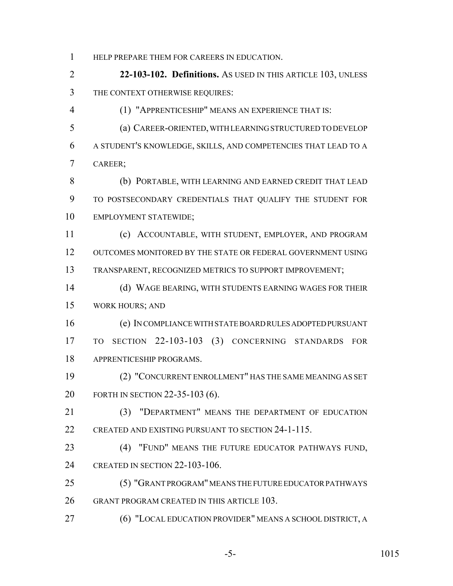HELP PREPARE THEM FOR CAREERS IN EDUCATION.

 **22-103-102. Definitions.** AS USED IN THIS ARTICLE 103, UNLESS THE CONTEXT OTHERWISE REQUIRES:

(1) "APPRENTICESHIP" MEANS AN EXPERIENCE THAT IS:

 (a) CAREER-ORIENTED, WITH LEARNING STRUCTURED TO DEVELOP A STUDENT'S KNOWLEDGE, SKILLS, AND COMPETENCIES THAT LEAD TO A CAREER;

 (b) PORTABLE, WITH LEARNING AND EARNED CREDIT THAT LEAD TO POSTSECONDARY CREDENTIALS THAT QUALIFY THE STUDENT FOR EMPLOYMENT STATEWIDE;

 (c) ACCOUNTABLE, WITH STUDENT, EMPLOYER, AND PROGRAM OUTCOMES MONITORED BY THE STATE OR FEDERAL GOVERNMENT USING TRANSPARENT, RECOGNIZED METRICS TO SUPPORT IMPROVEMENT;

 (d) WAGE BEARING, WITH STUDENTS EARNING WAGES FOR THEIR WORK HOURS; AND

 (e) IN COMPLIANCE WITH STATE BOARD RULES ADOPTED PURSUANT TO SECTION 22-103-103 (3) CONCERNING STANDARDS FOR APPRENTICESHIP PROGRAMS.

 (2) "CONCURRENT ENROLLMENT" HAS THE SAME MEANING AS SET FORTH IN SECTION 22-35-103 (6).

 (3) "DEPARTMENT" MEANS THE DEPARTMENT OF EDUCATION CREATED AND EXISTING PURSUANT TO SECTION 24-1-115.

 (4) "FUND" MEANS THE FUTURE EDUCATOR PATHWAYS FUND, CREATED IN SECTION 22-103-106.

 (5) "GRANT PROGRAM" MEANS THE FUTURE EDUCATOR PATHWAYS GRANT PROGRAM CREATED IN THIS ARTICLE 103.

(6) "LOCAL EDUCATION PROVIDER" MEANS A SCHOOL DISTRICT, A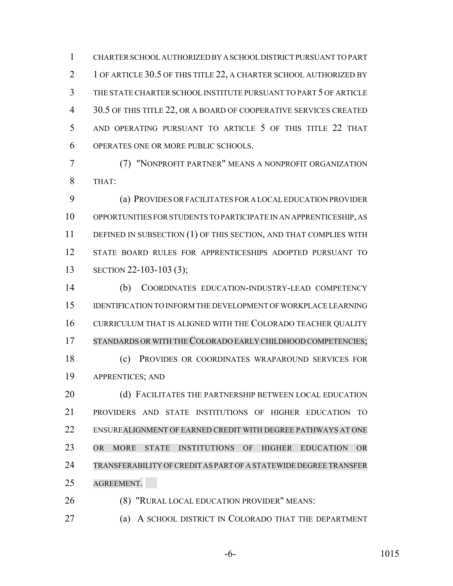CHARTER SCHOOL AUTHORIZED BY A SCHOOL DISTRICT PURSUANT TO PART 2 1 OF ARTICLE 30.5 OF THIS TITLE 22, A CHARTER SCHOOL AUTHORIZED BY THE STATE CHARTER SCHOOL INSTITUTE PURSUANT TO PART 5 OF ARTICLE 30.5 OF THIS TITLE 22, OR A BOARD OF COOPERATIVE SERVICES CREATED AND OPERATING PURSUANT TO ARTICLE 5 OF THIS TITLE 22 THAT OPERATES ONE OR MORE PUBLIC SCHOOLS.

 (7) "NONPROFIT PARTNER" MEANS A NONPROFIT ORGANIZATION THAT:

 (a) PROVIDES OR FACILITATES FOR A LOCAL EDUCATION PROVIDER OPPORTUNITIES FOR STUDENTS TO PARTICIPATE IN AN APPRENTICESHIP, AS 11 DEFINED IN SUBSECTION (1) OF THIS SECTION, AND THAT COMPLIES WITH STATE BOARD RULES FOR APPRENTICESHIPS ADOPTED PURSUANT TO 13 SECTION 22-103-103 (3);

 (b) COORDINATES EDUCATION-INDUSTRY-LEAD COMPETENCY IDENTIFICATION TO INFORM THE DEVELOPMENT OF WORKPLACE LEARNING CURRICULUM THAT IS ALIGNED WITH THE COLORADO TEACHER QUALITY 17 STANDARDS OR WITH THE COLORADO EARLY CHILDHOOD COMPETENCIES; (c) PROVIDES OR COORDINATES WRAPAROUND SERVICES FOR APPRENTICES; AND

20 (d) FACILITATES THE PARTNERSHIP BETWEEN LOCAL EDUCATION PROVIDERS AND STATE INSTITUTIONS OF HIGHER EDUCATION TO ENSUREALIGNMENT OF EARNED CREDIT WITH DEGREE PATHWAYS AT ONE OR MORE STATE INSTITUTIONS OF HIGHER EDUCATION OR TRANSFERABILITY OFCREDIT AS PART OF A STATEWIDE DEGREE TRANSFER AGREEMENT.

(8) "RURAL LOCAL EDUCATION PROVIDER" MEANS:

(a) A SCHOOL DISTRICT IN COLORADO THAT THE DEPARTMENT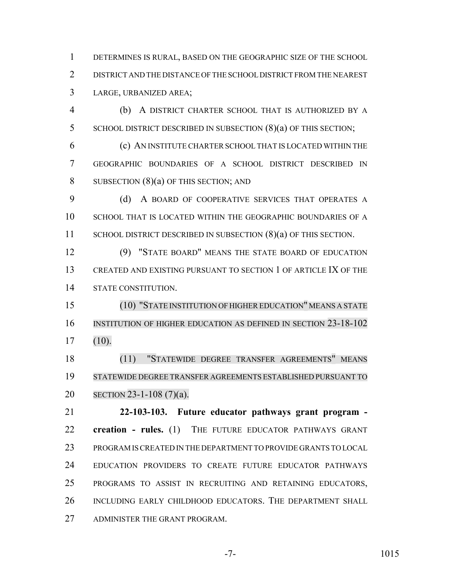DETERMINES IS RURAL, BASED ON THE GEOGRAPHIC SIZE OF THE SCHOOL DISTRICT AND THE DISTANCE OF THE SCHOOL DISTRICT FROM THE NEAREST LARGE, URBANIZED AREA;

 (b) A DISTRICT CHARTER SCHOOL THAT IS AUTHORIZED BY A 5 SCHOOL DISTRICT DESCRIBED IN SUBSECTION (8)(a) OF THIS SECTION;

 (c) AN INSTITUTE CHARTER SCHOOL THAT IS LOCATED WITHIN THE GEOGRAPHIC BOUNDARIES OF A SCHOOL DISTRICT DESCRIBED IN 8 SUBSECTION (8)(a) OF THIS SECTION; AND

9 (d) A BOARD OF COOPERATIVE SERVICES THAT OPERATES A SCHOOL THAT IS LOCATED WITHIN THE GEOGRAPHIC BOUNDARIES OF A 11 SCHOOL DISTRICT DESCRIBED IN SUBSECTION (8)(a) OF THIS SECTION.

 (9) "STATE BOARD" MEANS THE STATE BOARD OF EDUCATION CREATED AND EXISTING PURSUANT TO SECTION 1 OF ARTICLE IX OF THE STATE CONSTITUTION.

 (10) "STATE INSTITUTION OF HIGHEREDUCATION" MEANS A STATE INSTITUTION OF HIGHER EDUCATION AS DEFINED IN SECTION 23-18-102 (10).

 (11) "STATEWIDE DEGREE TRANSFER AGREEMENTS" MEANS STATEWIDE DEGREE TRANSFER AGREEMENTS ESTABLISHED PURSUANT TO SECTION 23-1-108 (7)(a).

 **22-103-103. Future educator pathways grant program - creation - rules.** (1) THE FUTURE EDUCATOR PATHWAYS GRANT PROGRAM IS CREATED IN THE DEPARTMENT TO PROVIDE GRANTS TO LOCAL EDUCATION PROVIDERS TO CREATE FUTURE EDUCATOR PATHWAYS PROGRAMS TO ASSIST IN RECRUITING AND RETAINING EDUCATORS, INCLUDING EARLY CHILDHOOD EDUCATORS. THE DEPARTMENT SHALL ADMINISTER THE GRANT PROGRAM.

-7- 1015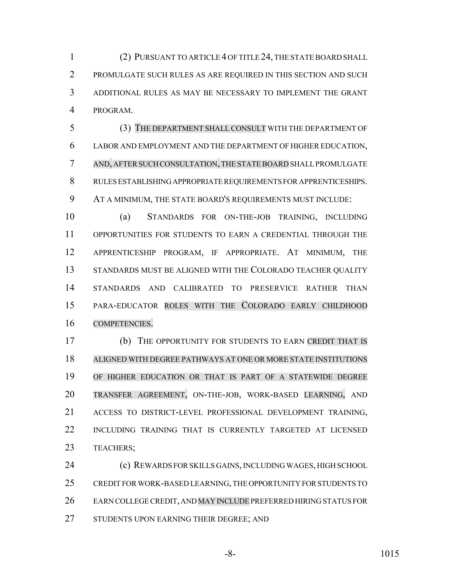(2) PURSUANT TO ARTICLE 4 OF TITLE 24, THE STATE BOARD SHALL PROMULGATE SUCH RULES AS ARE REQUIRED IN THIS SECTION AND SUCH ADDITIONAL RULES AS MAY BE NECESSARY TO IMPLEMENT THE GRANT PROGRAM.

 (3) THE DEPARTMENT SHALL CONSULT WITH THE DEPARTMENT OF LABOR AND EMPLOYMENT AND THE DEPARTMENT OF HIGHER EDUCATION, AND, AFTER SUCH CONSULTATION,THE STATEBOARD SHALL PROMULGATE RULES ESTABLISHING APPROPRIATE REQUIREMENTS FOR APPRENTICESHIPS. AT A MINIMUM, THE STATE BOARD'S REQUIREMENTS MUST INCLUDE:

 (a) STANDARDS FOR ON-THE-JOB TRAINING, INCLUDING OPPORTUNITIES FOR STUDENTS TO EARN A CREDENTIAL THROUGH THE APPRENTICESHIP PROGRAM, IF APPROPRIATE. AT MINIMUM, THE 13 STANDARDS MUST BE ALIGNED WITH THE COLORADO TEACHER QUALITY STANDARDS AND CALIBRATED TO PRESERVICE RATHER THAN PARA-EDUCATOR ROLES WITH THE COLORADO EARLY CHILDHOOD COMPETENCIES.

 (b) THE OPPORTUNITY FOR STUDENTS TO EARN CREDIT THAT IS ALIGNED WITH DEGREE PATHWAYS AT ONE OR MORE STATE INSTITUTIONS OF HIGHER EDUCATION OR THAT IS PART OF A STATEWIDE DEGREE TRANSFER AGREEMENT, ON-THE-JOB, WORK-BASED LEARNING, AND ACCESS TO DISTRICT-LEVEL PROFESSIONAL DEVELOPMENT TRAINING, INCLUDING TRAINING THAT IS CURRENTLY TARGETED AT LICENSED TEACHERS;

 (c) REWARDS FOR SKILLS GAINS, INCLUDING WAGES, HIGH SCHOOL CREDIT FOR WORK-BASED LEARNING, THE OPPORTUNITY FOR STUDENTS TO EARN COLLEGE CREDIT, AND MAY INCLUDE PREFERRED HIRING STATUS FOR 27 STUDENTS UPON EARNING THEIR DEGREE; AND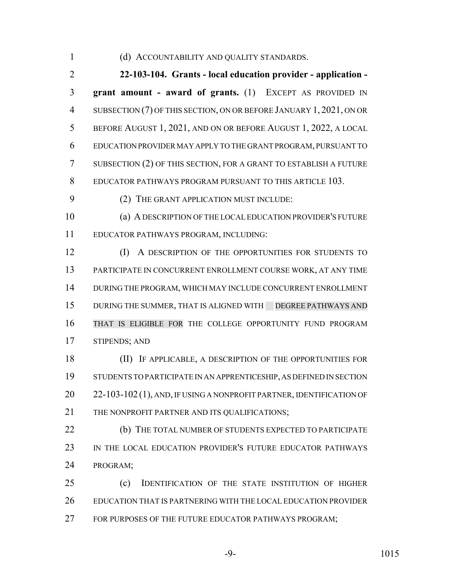#### (d) ACCOUNTABILITY AND QUALITY STANDARDS.

 **22-103-104. Grants - local education provider - application - grant amount - award of grants.** (1) EXCEPT AS PROVIDED IN SUBSECTION (7) OF THIS SECTION, ON OR BEFORE JANUARY 1, 2021, ON OR BEFORE AUGUST 1, 2021, AND ON OR BEFORE AUGUST 1, 2022, A LOCAL EDUCATION PROVIDER MAY APPLY TO THE GRANT PROGRAM, PURSUANT TO SUBSECTION (2) OF THIS SECTION, FOR A GRANT TO ESTABLISH A FUTURE EDUCATOR PATHWAYS PROGRAM PURSUANT TO THIS ARTICLE 103.

(2) THE GRANT APPLICATION MUST INCLUDE:

 (a) A DESCRIPTION OF THE LOCAL EDUCATION PROVIDER'S FUTURE EDUCATOR PATHWAYS PROGRAM, INCLUDING:

**(I)** A DESCRIPTION OF THE OPPORTUNITIES FOR STUDENTS TO PARTICIPATE IN CONCURRENT ENROLLMENT COURSE WORK, AT ANY TIME DURING THE PROGRAM, WHICH MAY INCLUDE CONCURRENT ENROLLMENT 15 DURING THE SUMMER, THAT IS ALIGNED WITH DEGREE PATHWAYS AND THAT IS ELIGIBLE FOR THE COLLEGE OPPORTUNITY FUND PROGRAM STIPENDS; AND

 (II) IF APPLICABLE, A DESCRIPTION OF THE OPPORTUNITIES FOR STUDENTS TO PARTICIPATE IN AN APPRENTICESHIP, AS DEFINED IN SECTION 20 22-103-102 (1), AND, IF USING A NONPROFIT PARTNER, IDENTIFICATION OF 21 THE NONPROFIT PARTNER AND ITS QUALIFICATIONS;

**(b)** THE TOTAL NUMBER OF STUDENTS EXPECTED TO PARTICIPATE 23 IN THE LOCAL EDUCATION PROVIDER'S FUTURE EDUCATOR PATHWAYS PROGRAM;

 (c) IDENTIFICATION OF THE STATE INSTITUTION OF HIGHER EDUCATION THAT IS PARTNERING WITH THE LOCAL EDUCATION PROVIDER 27 FOR PURPOSES OF THE FUTURE EDUCATOR PATHWAYS PROGRAM;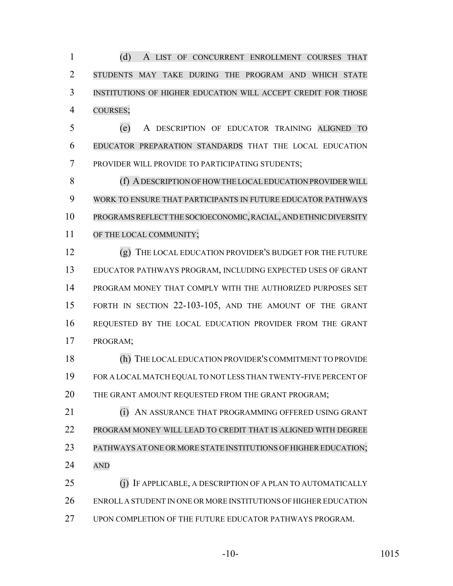(d) A LIST OF CONCURRENT ENROLLMENT COURSES THAT STUDENTS MAY TAKE DURING THE PROGRAM AND WHICH STATE INSTITUTIONS OF HIGHER EDUCATION WILL ACCEPT CREDIT FOR THOSE COURSES;

 (e) A DESCRIPTION OF EDUCATOR TRAINING ALIGNED TO EDUCATOR PREPARATION STANDARDS THAT THE LOCAL EDUCATION PROVIDER WILL PROVIDE TO PARTICIPATING STUDENTS;

8 (f) A DESCRIPTION OF HOW THE LOCAL EDUCATION PROVIDER WILL WORK TO ENSURE THAT PARTICIPANTS IN FUTURE EDUCATOR PATHWAYS PROGRAMS REFLECT THE SOCIOECONOMIC, RACIAL, AND ETHNIC DIVERSITY OF THE LOCAL COMMUNITY;

 (g) THE LOCAL EDUCATION PROVIDER'S BUDGET FOR THE FUTURE EDUCATOR PATHWAYS PROGRAM, INCLUDING EXPECTED USES OF GRANT PROGRAM MONEY THAT COMPLY WITH THE AUTHORIZED PURPOSES SET FORTH IN SECTION 22-103-105, AND THE AMOUNT OF THE GRANT REQUESTED BY THE LOCAL EDUCATION PROVIDER FROM THE GRANT PROGRAM;

 (h) THE LOCAL EDUCATION PROVIDER'S COMMITMENT TO PROVIDE FOR A LOCAL MATCH EQUAL TO NOT LESS THAN TWENTY-FIVE PERCENT OF THE GRANT AMOUNT REQUESTED FROM THE GRANT PROGRAM;

**(i) AN ASSURANCE THAT PROGRAMMING OFFERED USING GRANT**  PROGRAM MONEY WILL LEAD TO CREDIT THAT IS ALIGNED WITH DEGREE PATHWAYS AT ONE OR MORE STATE INSTITUTIONS OF HIGHER EDUCATION; AND

 (j) IF APPLICABLE, A DESCRIPTION OF A PLAN TO AUTOMATICALLY ENROLL A STUDENT IN ONE OR MORE INSTITUTIONS OF HIGHER EDUCATION UPON COMPLETION OF THE FUTURE EDUCATOR PATHWAYS PROGRAM.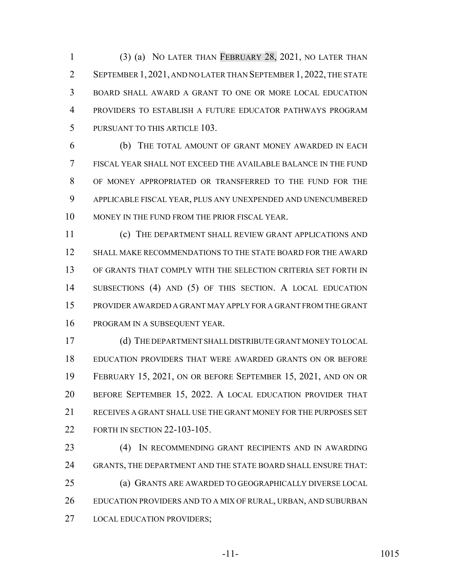(3) (a) NO LATER THAN FEBRUARY 28, 2021, NO LATER THAN SEPTEMBER 1, 2021, AND NO LATER THAN SEPTEMBER 1, 2022, THE STATE BOARD SHALL AWARD A GRANT TO ONE OR MORE LOCAL EDUCATION PROVIDERS TO ESTABLISH A FUTURE EDUCATOR PATHWAYS PROGRAM PURSUANT TO THIS ARTICLE 103.

 (b) THE TOTAL AMOUNT OF GRANT MONEY AWARDED IN EACH FISCAL YEAR SHALL NOT EXCEED THE AVAILABLE BALANCE IN THE FUND OF MONEY APPROPRIATED OR TRANSFERRED TO THE FUND FOR THE APPLICABLE FISCAL YEAR, PLUS ANY UNEXPENDED AND UNENCUMBERED MONEY IN THE FUND FROM THE PRIOR FISCAL YEAR.

 (c) THE DEPARTMENT SHALL REVIEW GRANT APPLICATIONS AND 12 SHALL MAKE RECOMMENDATIONS TO THE STATE BOARD FOR THE AWARD OF GRANTS THAT COMPLY WITH THE SELECTION CRITERIA SET FORTH IN SUBSECTIONS (4) AND (5) OF THIS SECTION. A LOCAL EDUCATION PROVIDER AWARDED A GRANT MAY APPLY FOR A GRANT FROM THE GRANT PROGRAM IN A SUBSEQUENT YEAR.

 (d) THE DEPARTMENT SHALL DISTRIBUTE GRANT MONEY TO LOCAL EDUCATION PROVIDERS THAT WERE AWARDED GRANTS ON OR BEFORE FEBRUARY 15, 2021, ON OR BEFORE SEPTEMBER 15, 2021, AND ON OR BEFORE SEPTEMBER 15, 2022. A LOCAL EDUCATION PROVIDER THAT RECEIVES A GRANT SHALL USE THE GRANT MONEY FOR THE PURPOSES SET FORTH IN SECTION 22-103-105.

 (4) IN RECOMMENDING GRANT RECIPIENTS AND IN AWARDING GRANTS, THE DEPARTMENT AND THE STATE BOARD SHALL ENSURE THAT: (a) GRANTS ARE AWARDED TO GEOGRAPHICALLY DIVERSE LOCAL EDUCATION PROVIDERS AND TO A MIX OF RURAL, URBAN, AND SUBURBAN LOCAL EDUCATION PROVIDERS;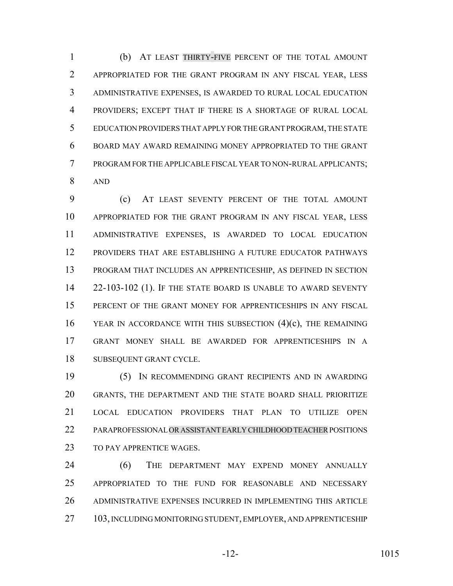(b) AT LEAST THIRTY-FIVE PERCENT OF THE TOTAL AMOUNT APPROPRIATED FOR THE GRANT PROGRAM IN ANY FISCAL YEAR, LESS ADMINISTRATIVE EXPENSES, IS AWARDED TO RURAL LOCAL EDUCATION PROVIDERS; EXCEPT THAT IF THERE IS A SHORTAGE OF RURAL LOCAL EDUCATION PROVIDERS THAT APPLY FOR THE GRANT PROGRAM, THE STATE BOARD MAY AWARD REMAINING MONEY APPROPRIATED TO THE GRANT PROGRAM FOR THE APPLICABLE FISCAL YEAR TO NON-RURAL APPLICANTS; AND

 (c) AT LEAST SEVENTY PERCENT OF THE TOTAL AMOUNT APPROPRIATED FOR THE GRANT PROGRAM IN ANY FISCAL YEAR, LESS ADMINISTRATIVE EXPENSES, IS AWARDED TO LOCAL EDUCATION PROVIDERS THAT ARE ESTABLISHING A FUTURE EDUCATOR PATHWAYS PROGRAM THAT INCLUDES AN APPRENTICESHIP, AS DEFINED IN SECTION 22-103-102 (1). IF THE STATE BOARD IS UNABLE TO AWARD SEVENTY PERCENT OF THE GRANT MONEY FOR APPRENTICESHIPS IN ANY FISCAL YEAR IN ACCORDANCE WITH THIS SUBSECTION (4)(c), THE REMAINING GRANT MONEY SHALL BE AWARDED FOR APPRENTICESHIPS IN A SUBSEQUENT GRANT CYCLE.

 (5) IN RECOMMENDING GRANT RECIPIENTS AND IN AWARDING GRANTS, THE DEPARTMENT AND THE STATE BOARD SHALL PRIORITIZE LOCAL EDUCATION PROVIDERS THAT PLAN TO UTILIZE OPEN PARAPROFESSIONAL OR ASSISTANT EARLY CHILDHOOD TEACHER POSITIONS TO PAY APPRENTICE WAGES.

 (6) THE DEPARTMENT MAY EXPEND MONEY ANNUALLY APPROPRIATED TO THE FUND FOR REASONABLE AND NECESSARY ADMINISTRATIVE EXPENSES INCURRED IN IMPLEMENTING THIS ARTICLE 103, INCLUDING MONITORING STUDENT, EMPLOYER, AND APPRENTICESHIP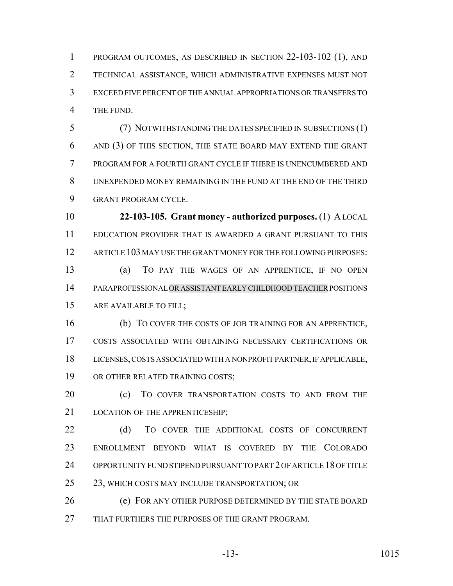PROGRAM OUTCOMES, AS DESCRIBED IN SECTION 22-103-102 (1), AND TECHNICAL ASSISTANCE, WHICH ADMINISTRATIVE EXPENSES MUST NOT EXCEED FIVE PERCENT OF THE ANNUAL APPROPRIATIONS OR TRANSFERS TO THE FUND.

 (7) NOTWITHSTANDING THE DATES SPECIFIED IN SUBSECTIONS (1) AND (3) OF THIS SECTION, THE STATE BOARD MAY EXTEND THE GRANT PROGRAM FOR A FOURTH GRANT CYCLE IF THERE IS UNENCUMBERED AND UNEXPENDED MONEY REMAINING IN THE FUND AT THE END OF THE THIRD GRANT PROGRAM CYCLE.

 **22-103-105. Grant money - authorized purposes.** (1) A LOCAL EDUCATION PROVIDER THAT IS AWARDED A GRANT PURSUANT TO THIS ARTICLE 103 MAY USE THE GRANT MONEY FOR THE FOLLOWING PURPOSES:

 (a) TO PAY THE WAGES OF AN APPRENTICE, IF NO OPEN PARAPROFESSIONAL OR ASSISTANT EARLY CHILDHOOD TEACHER POSITIONS ARE AVAILABLE TO FILL;

 (b) TO COVER THE COSTS OF JOB TRAINING FOR AN APPRENTICE, COSTS ASSOCIATED WITH OBTAINING NECESSARY CERTIFICATIONS OR LICENSES, COSTS ASSOCIATED WITH A NONPROFIT PARTNER, IF APPLICABLE, OR OTHER RELATED TRAINING COSTS;

**(c)** TO COVER TRANSPORTATION COSTS TO AND FROM THE 21 LOCATION OF THE APPRENTICESHIP:

22 (d) TO COVER THE ADDITIONAL COSTS OF CONCURRENT ENROLLMENT BEYOND WHAT IS COVERED BY THE COLORADO OPPORTUNITY FUND STIPEND PURSUANT TO PART 2 OF ARTICLE 18 OF TITLE 25 23, WHICH COSTS MAY INCLUDE TRANSPORTATION; OR

 (e) FOR ANY OTHER PURPOSE DETERMINED BY THE STATE BOARD THAT FURTHERS THE PURPOSES OF THE GRANT PROGRAM.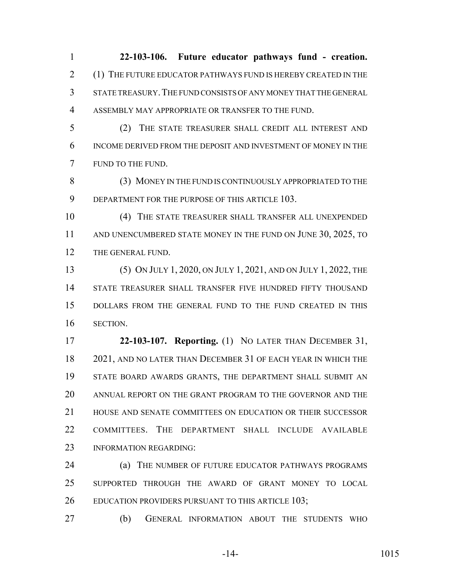**22-103-106. Future educator pathways fund - creation.** (1) THE FUTURE EDUCATOR PATHWAYS FUND IS HEREBY CREATED IN THE STATE TREASURY.THE FUND CONSISTS OF ANY MONEY THAT THE GENERAL ASSEMBLY MAY APPROPRIATE OR TRANSFER TO THE FUND.

 (2) THE STATE TREASURER SHALL CREDIT ALL INTEREST AND INCOME DERIVED FROM THE DEPOSIT AND INVESTMENT OF MONEY IN THE FUND TO THE FUND.

 (3) MONEY IN THE FUND IS CONTINUOUSLY APPROPRIATED TO THE 9 DEPARTMENT FOR THE PURPOSE OF THIS ARTICLE 103.

 (4) THE STATE TREASURER SHALL TRANSFER ALL UNEXPENDED 11 AND UNENCUMBERED STATE MONEY IN THE FUND ON JUNE 30, 2025, TO 12 THE GENERAL FUND.

 (5) ON JULY 1, 2020, ON JULY 1, 2021, AND ON JULY 1, 2022, THE STATE TREASURER SHALL TRANSFER FIVE HUNDRED FIFTY THOUSAND DOLLARS FROM THE GENERAL FUND TO THE FUND CREATED IN THIS SECTION.

 **22-103-107. Reporting.** (1) NO LATER THAN DECEMBER 31, 2021, AND NO LATER THAN DECEMBER 31 OF EACH YEAR IN WHICH THE STATE BOARD AWARDS GRANTS, THE DEPARTMENT SHALL SUBMIT AN ANNUAL REPORT ON THE GRANT PROGRAM TO THE GOVERNOR AND THE HOUSE AND SENATE COMMITTEES ON EDUCATION OR THEIR SUCCESSOR COMMITTEES. THE DEPARTMENT SHALL INCLUDE AVAILABLE 23 INFORMATION REGARDING:

 (a) THE NUMBER OF FUTURE EDUCATOR PATHWAYS PROGRAMS SUPPORTED THROUGH THE AWARD OF GRANT MONEY TO LOCAL 26 EDUCATION PROVIDERS PURSUANT TO THIS ARTICLE 103;

(b) GENERAL INFORMATION ABOUT THE STUDENTS WHO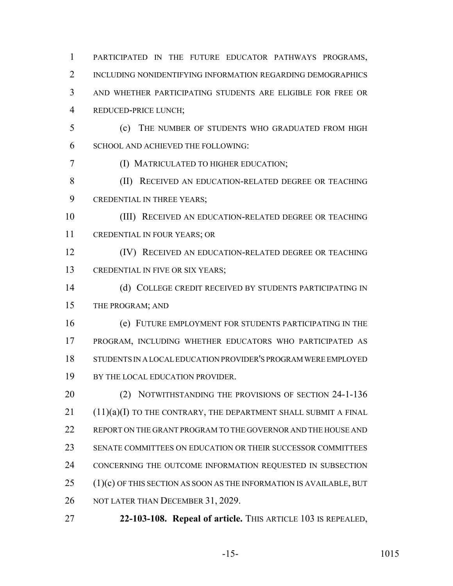PARTICIPATED IN THE FUTURE EDUCATOR PATHWAYS PROGRAMS, 2 INCLUDING NONIDENTIFYING INFORMATION REGARDING DEMOGRAPHICS AND WHETHER PARTICIPATING STUDENTS ARE ELIGIBLE FOR FREE OR REDUCED-PRICE LUNCH;

 (c) THE NUMBER OF STUDENTS WHO GRADUATED FROM HIGH SCHOOL AND ACHIEVED THE FOLLOWING:

(I) MATRICULATED TO HIGHER EDUCATION;

- 8 (II) RECEIVED AN EDUCATION-RELATED DEGREE OR TEACHING CREDENTIAL IN THREE YEARS;
- (III) RECEIVED AN EDUCATION-RELATED DEGREE OR TEACHING CREDENTIAL IN FOUR YEARS; OR
- (IV) RECEIVED AN EDUCATION-RELATED DEGREE OR TEACHING 13 CREDENTIAL IN FIVE OR SIX YEARS;
- (d) COLLEGE CREDIT RECEIVED BY STUDENTS PARTICIPATING IN THE PROGRAM; AND
- (e) FUTURE EMPLOYMENT FOR STUDENTS PARTICIPATING IN THE PROGRAM, INCLUDING WHETHER EDUCATORS WHO PARTICIPATED AS STUDENTS IN A LOCAL EDUCATION PROVIDER'S PROGRAM WERE EMPLOYED 19 BY THE LOCAL EDUCATION PROVIDER.
- 20 (2) NOTWITHSTANDING THE PROVISIONS OF SECTION 24-1-136 (11)(a)(I) TO THE CONTRARY, THE DEPARTMENT SHALL SUBMIT A FINAL REPORT ON THE GRANT PROGRAM TO THE GOVERNOR AND THE HOUSE AND SENATE COMMITTEES ON EDUCATION OR THEIR SUCCESSOR COMMITTEES CONCERNING THE OUTCOME INFORMATION REQUESTED IN SUBSECTION (1)(c) OF THIS SECTION AS SOON AS THE INFORMATION IS AVAILABLE, BUT NOT LATER THAN DECEMBER 31, 2029.
- **22-103-108. Repeal of article.** THIS ARTICLE 103 IS REPEALED,